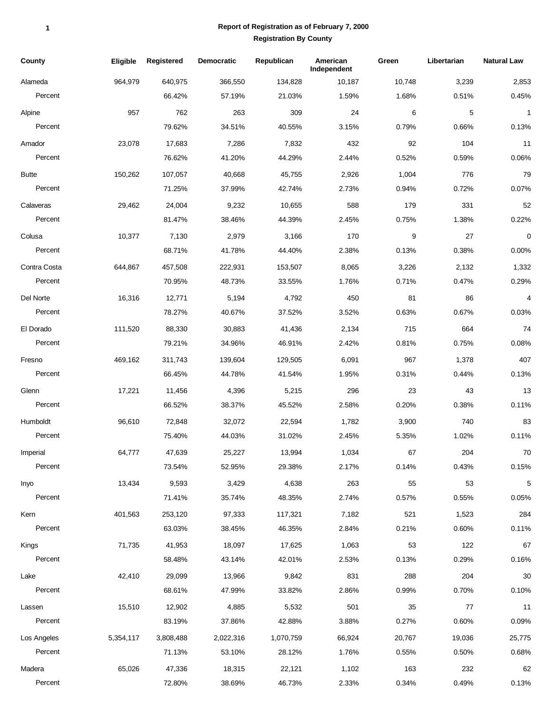**1**

# **Report of Registration as of February 7, 2000 Registration By County**

| County           | Eligible  | Registered        | <b>Democratic</b> | Republican        | American<br>Independent | Green        | Libertarian    | <b>Natural Law</b> |
|------------------|-----------|-------------------|-------------------|-------------------|-------------------------|--------------|----------------|--------------------|
| Alameda          | 964,979   | 640,975           | 366,550           | 134,828           | 10,187                  | 10,748       | 3,239          | 2,853              |
| Percent          |           | 66.42%            | 57.19%            | 21.03%            | 1.59%                   | 1.68%        | 0.51%          | 0.45%              |
| Alpine           | 957       | 762               | 263               | 309               | 24                      | 6            | 5              | $\mathbf{1}$       |
| Percent          |           | 79.62%            | 34.51%            | 40.55%            | 3.15%                   | 0.79%        | 0.66%          | 0.13%              |
| Amador           | 23,078    | 17,683            | 7,286             | 7,832             | 432                     | 92           | 104            | 11                 |
| Percent          |           | 76.62%            | 41.20%            | 44.29%            | 2.44%                   | 0.52%        | 0.59%          | 0.06%              |
| <b>Butte</b>     | 150,262   | 107,057           | 40,668            | 45,755            | 2,926                   | 1,004        | 776            | 79                 |
| Percent          |           | 71.25%            | 37.99%            | 42.74%            | 2.73%                   | 0.94%        | 0.72%          | 0.07%              |
| Calaveras        | 29,462    | 24,004            | 9,232             | 10,655            | 588                     | 179          | 331            | 52                 |
| Percent          |           | 81.47%            | 38.46%            | 44.39%            | 2.45%                   | 0.75%        | 1.38%          | 0.22%              |
| Colusa           | 10,377    | 7,130             | 2,979             | 3,166             | 170                     | 9            | 27             | $\pmb{0}$          |
| Percent          |           | 68.71%            | 41.78%            | 44.40%            | 2.38%                   | 0.13%        | 0.38%          | 0.00%              |
| Contra Costa     | 644,867   | 457,508           | 222,931           | 153,507           | 8,065                   | 3,226        | 2,132          | 1,332              |
| Percent          |           | 70.95%            | 48.73%            | 33.55%            | 1.76%                   | 0.71%        | 0.47%          | 0.29%              |
| Del Norte        | 16,316    | 12,771            | 5,194             | 4,792             | 450                     | 81           | 86             | 4                  |
| Percent          |           | 78.27%            | 40.67%            | 37.52%            | 3.52%                   | 0.63%        | 0.67%          | 0.03%              |
| El Dorado        | 111,520   | 88,330            | 30,883            | 41,436            | 2,134                   | 715          | 664            | 74                 |
| Percent          |           | 79.21%            | 34.96%            | 46.91%            | 2.42%                   | 0.81%        | 0.75%          | 0.08%              |
| Fresno           | 469,162   | 311,743           | 139,604           | 129,505           | 6,091                   | 967          | 1,378          | 407                |
| Percent          |           | 66.45%            | 44.78%            | 41.54%            | 1.95%                   | 0.31%        | 0.44%          | 0.13%              |
| Glenn            | 17,221    | 11,456            | 4,396             | 5,215             | 296                     | 23           | 43             | 13                 |
| Percent          |           | 66.52%            | 38.37%            | 45.52%            | 2.58%                   | 0.20%        | 0.38%          | 0.11%              |
| Humboldt         | 96,610    | 72,848            | 32,072            | 22,594            | 1,782                   | 3,900        | 740            | 83                 |
| Percent          |           | 75.40%            | 44.03%            | 31.02%            | 2.45%                   | 5.35%        | 1.02%          | 0.11%              |
| Imperial         | 64,777    | 47,639            | 25,227            | 13,994            | 1,034                   | 67           | 204            | 70                 |
| Percent          |           | 73.54%            | 52.95%            | 29.38%            | 2.17%                   | 0.14%        | 0.43%          | 0.15%              |
|                  | 13,434    | 9,593             | 3,429             | 4,638             | 263                     | 55           | 53             | $\mathbf 5$        |
| Inyo<br>Percent  |           | 71.41%            | 35.74%            | 48.35%            | 2.74%                   | 0.57%        | 0.55%          | 0.05%              |
|                  |           |                   |                   |                   |                         |              |                |                    |
| Kern<br>Percent  | 401,563   | 253,120<br>63.03% | 97,333<br>38.45%  | 117,321<br>46.35% | 7,182<br>2.84%          | 521<br>0.21% | 1,523<br>0.60% | 284<br>0.11%       |
|                  |           |                   |                   |                   |                         |              |                |                    |
| Kings<br>Percent | 71,735    | 41,953<br>58.48%  | 18,097<br>43.14%  | 17,625<br>42.01%  | 1,063<br>2.53%          | 53<br>0.13%  | 122<br>0.29%   | 67<br>0.16%        |
|                  |           |                   |                   |                   |                         |              |                |                    |
| Lake<br>Percent  | 42,410    | 29,099            | 13,966            | 9,842             | 831                     | 288          | 204            | $30\,$             |
|                  |           | 68.61%            | 47.99%            | 33.82%            | 2.86%                   | 0.99%        | 0.70%          | 0.10%              |
| Lassen           | 15,510    | 12,902            | 4,885             | 5,532             | 501                     | 35           | 77             | 11                 |
| Percent          |           | 83.19%            | 37.86%            | 42.88%            | 3.88%                   | 0.27%        | 0.60%          | 0.09%              |
| Los Angeles      | 5,354,117 | 3,808,488         | 2,022,316         | 1,070,759         | 66,924                  | 20,767       | 19,036         | 25,775             |
| Percent          |           | 71.13%            | 53.10%            | 28.12%            | 1.76%                   | 0.55%        | 0.50%          | 0.68%              |
| Madera           | 65,026    | 47,336            | 18,315            | 22,121            | 1,102                   | 163          | 232            | 62                 |
| Percent          |           | 72.80%            | 38.69%            | 46.73%            | 2.33%                   | 0.34%        | 0.49%          | 0.13%              |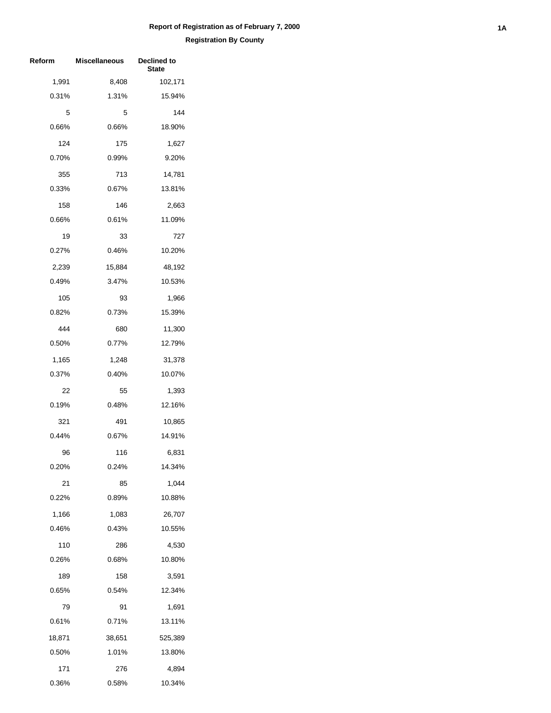### **Report of Registration as of February 7, 2000**

### **Registration By County**

| Reform | <b>Miscellaneous</b> | <b>Declined to</b><br><b>State</b> |  |  |
|--------|----------------------|------------------------------------|--|--|
| 1,991  | 8,408                | 102,171                            |  |  |
| 0.31%  | 1.31%                | 15.94%                             |  |  |
| 5      | 5                    | 144                                |  |  |
| 0.66%  | 0.66%                | 18.90%                             |  |  |
| 124    | 175                  | 1,627                              |  |  |
| 0.70%  | 0.99%                | 9.20%                              |  |  |
| 355    | 713                  | 14,781                             |  |  |
| 0.33%  | 0.67%                | 13.81%                             |  |  |
| 158    | 146                  | 2,663                              |  |  |
| 0.66%  | 0.61%                | 11.09%                             |  |  |
| 19     | 33                   | 727                                |  |  |
| 0.27%  | 0.46%                | 10.20%                             |  |  |
| 2,239  | 15,884               | 48,192                             |  |  |
| 0.49%  | 3.47%                | 10.53%                             |  |  |
| 105    | 93                   | 1,966                              |  |  |
| 0.82%  | 0.73%                | 15.39%                             |  |  |
| 444    | 680                  | 11,300                             |  |  |
| 0.50%  | 0.77%                | 12.79%                             |  |  |
| 1,165  | 1,248                | 31,378                             |  |  |
| 0.37%  | 0.40%                | 10.07%                             |  |  |
| 22     | 55                   | 1,393                              |  |  |
| 0.19%  | 0.48%                | 12.16%                             |  |  |
| 321    | 491                  | 10,865                             |  |  |
| 0.44%  | 0.67%                | 14.91%                             |  |  |
| 96     | 116                  | 6,831                              |  |  |
| 0.20%  | 0.24%                | 14.34%                             |  |  |
| 21     | 85                   | 1,044                              |  |  |
| 0.22%  | 0.89%                | 10.88%                             |  |  |
| 1,166  | 1,083                | 26,707                             |  |  |
| 0.46%  | 0.43%                | 10.55%                             |  |  |
| 110    | 286                  | 4,530                              |  |  |
| 0.26%  | 0.68%                | 10.80%                             |  |  |
| 189    | 158                  | 3,591                              |  |  |
| 0.65%  | 0.54%                | 12.34%                             |  |  |
| 79     | 91                   | 1,691                              |  |  |
| 0.61%  | 0.71%                | 13.11%                             |  |  |
| 18,871 | 38,651               | 525,389                            |  |  |
| 0.50%  | 1.01%                | 13.80%                             |  |  |
| 171    | 276                  | 4,894                              |  |  |
| 0.36%  | 0.58%                | 10.34%                             |  |  |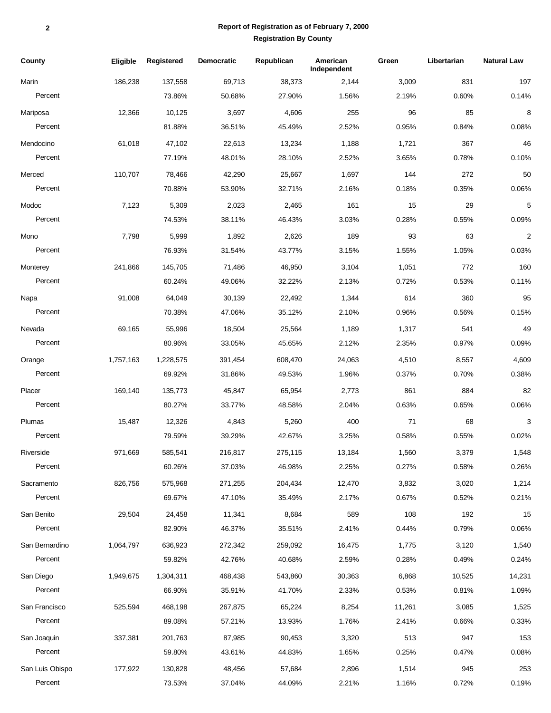# **Report of Registration as of February 7, 2000 Registration By County**

| County          | Eligible  | Registered | Democratic | Republican | American<br>Independent | Green  | Libertarian | <b>Natural Law</b> |
|-----------------|-----------|------------|------------|------------|-------------------------|--------|-------------|--------------------|
| Marin           | 186,238   | 137,558    | 69,713     | 38,373     | 2,144                   | 3,009  | 831         | 197                |
| Percent         |           | 73.86%     | 50.68%     | 27.90%     | 1.56%                   | 2.19%  | 0.60%       | 0.14%              |
| Mariposa        | 12,366    | 10,125     | 3,697      | 4,606      | 255                     | 96     | 85          | 8                  |
| Percent         |           | 81.88%     | 36.51%     | 45.49%     | 2.52%                   | 0.95%  | 0.84%       | 0.08%              |
| Mendocino       | 61,018    | 47,102     | 22,613     | 13,234     | 1,188                   | 1,721  | 367         | 46                 |
| Percent         |           | 77.19%     | 48.01%     | 28.10%     | 2.52%                   | 3.65%  | 0.78%       | 0.10%              |
| Merced          | 110,707   | 78,466     | 42,290     | 25,667     | 1,697                   | 144    | 272         | 50                 |
| Percent         |           | 70.88%     | 53.90%     | 32.71%     | 2.16%                   | 0.18%  | 0.35%       | 0.06%              |
| Modoc           | 7,123     | 5,309      | 2,023      | 2,465      | 161                     | 15     | 29          | $\mathbf 5$        |
| Percent         |           | 74.53%     | 38.11%     | 46.43%     | 3.03%                   | 0.28%  | 0.55%       | 0.09%              |
| Mono            | 7,798     | 5,999      | 1,892      | 2,626      | 189                     | 93     | 63          | $\mathbf{2}$       |
| Percent         |           | 76.93%     | 31.54%     | 43.77%     | 3.15%                   | 1.55%  | 1.05%       | 0.03%              |
| Monterey        | 241,866   | 145,705    | 71,486     | 46,950     | 3,104                   | 1,051  | 772         | 160                |
| Percent         |           | 60.24%     | 49.06%     | 32.22%     | 2.13%                   | 0.72%  | 0.53%       | 0.11%              |
| Napa            | 91,008    | 64,049     | 30,139     | 22,492     | 1,344                   | 614    | 360         | 95                 |
| Percent         |           | 70.38%     | 47.06%     | 35.12%     | 2.10%                   | 0.96%  | 0.56%       | 0.15%              |
| Nevada          | 69,165    | 55,996     | 18,504     | 25,564     | 1,189                   | 1,317  | 541         | 49                 |
| Percent         |           | 80.96%     | 33.05%     | 45.65%     | 2.12%                   | 2.35%  | 0.97%       | 0.09%              |
| Orange          | 1,757,163 | 1,228,575  | 391,454    | 608,470    | 24,063                  | 4,510  | 8,557       | 4,609              |
| Percent         |           | 69.92%     | 31.86%     | 49.53%     | 1.96%                   | 0.37%  | 0.70%       | 0.38%              |
| Placer          | 169,140   | 135,773    | 45,847     | 65,954     | 2,773                   | 861    | 884         | 82                 |
| Percent         |           | 80.27%     | 33.77%     | 48.58%     | 2.04%                   | 0.63%  | 0.65%       | 0.06%              |
| Plumas          | 15,487    | 12,326     | 4,843      | 5,260      | 400                     | 71     | 68          | 3                  |
| Percent         |           | 79.59%     | 39.29%     | 42.67%     | 3.25%                   | 0.58%  | 0.55%       | 0.02%              |
| Riverside       | 971,669   | 585,541    | 216,817    | 275,115    | 13,184                  | 1,560  | 3,379       | 1,548              |
| Percent         |           | 60.26%     | 37.03%     | 46.98%     | 2.25%                   | 0.27%  | 0.58%       | 0.26%              |
| Sacramento      | 826,756   | 575,968    | 271,255    | 204,434    | 12,470                  | 3,832  | 3,020       | 1,214              |
| Percent         |           | 69.67%     | 47.10%     | 35.49%     | 2.17%                   | 0.67%  | 0.52%       | 0.21%              |
| San Benito      | 29,504    | 24,458     | 11,341     | 8,684      | 589                     | 108    | 192         | 15                 |
| Percent         |           | 82.90%     | 46.37%     | 35.51%     | 2.41%                   | 0.44%  | 0.79%       | 0.06%              |
| San Bernardino  | 1,064,797 | 636,923    | 272,342    | 259,092    | 16,475                  | 1,775  | 3,120       | 1,540              |
| Percent         |           | 59.82%     | 42.76%     | 40.68%     | 2.59%                   | 0.28%  | 0.49%       | 0.24%              |
| San Diego       | 1,949,675 | 1,304,311  | 468,438    | 543,860    | 30,363                  | 6,868  | 10,525      | 14,231             |
| Percent         |           | 66.90%     | 35.91%     | 41.70%     | 2.33%                   | 0.53%  | 0.81%       | 1.09%              |
| San Francisco   | 525,594   | 468,198    | 267,875    | 65,224     | 8,254                   | 11,261 | 3,085       | 1,525              |
| Percent         |           | 89.08%     | 57.21%     | 13.93%     | 1.76%                   | 2.41%  | 0.66%       | 0.33%              |
| San Joaquin     | 337,381   | 201,763    | 87,985     | 90,453     | 3,320                   | 513    | 947         | 153                |
| Percent         |           | 59.80%     | 43.61%     | 44.83%     | 1.65%                   | 0.25%  | 0.47%       | 0.08%              |
| San Luis Obispo | 177,922   | 130,828    | 48,456     | 57,684     | 2,896                   | 1,514  | 945         | 253                |
| Percent         |           | 73.53%     | 37.04%     | 44.09%     | 2.21%                   | 1.16%  | 0.72%       | 0.19%              |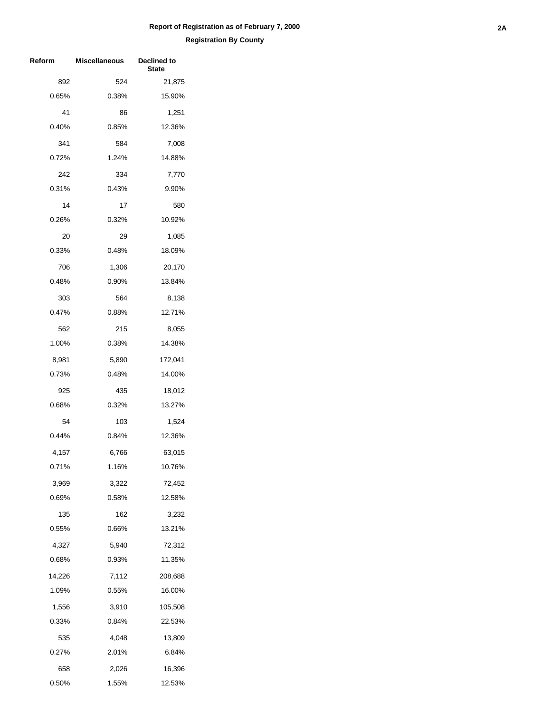### **Report of Registration as of February 7, 2000**

### **Registration By County**

| Reform | <b>Miscellaneous</b> | <b>Declined to</b><br><b>State</b> |  |  |
|--------|----------------------|------------------------------------|--|--|
| 892    | 524                  | 21,875                             |  |  |
| 0.65%  | 0.38%                | 15.90%                             |  |  |
| 41     | 86                   | 1,251                              |  |  |
| 0.40%  | 0.85%                | 12.36%                             |  |  |
| 341    | 584                  | 7,008                              |  |  |
| 0.72%  | 1.24%                | 14.88%                             |  |  |
| 242    | 334                  | 7,770                              |  |  |
| 0.31%  | 0.43%                | 9.90%                              |  |  |
| 14     | 17                   | 580                                |  |  |
| 0.26%  | 0.32%                | 10.92%                             |  |  |
| 20     | 29                   | 1,085                              |  |  |
| 0.33%  | 0.48%                | 18.09%                             |  |  |
| 706    | 1,306                | 20,170                             |  |  |
| 0.48%  | 0.90%                | 13.84%                             |  |  |
| 303    | 564                  | 8,138                              |  |  |
| 0.47%  | 0.88%                | 12.71%                             |  |  |
| 562    | 215                  | 8,055                              |  |  |
| 1.00%  | 0.38%                | 14.38%                             |  |  |
| 8,981  | 5,890                | 172,041                            |  |  |
| 0.73%  | 0.48%                | 14.00%                             |  |  |
| 925    | 435                  | 18,012                             |  |  |
| 0.68%  | 0.32%                | 13.27%                             |  |  |
| 54     | 103                  | 1,524                              |  |  |
| 0.44%  | 0.84%                | 12.36%                             |  |  |
| 4,157  | 6,766                | 63,015                             |  |  |
| 0.71%  | 1.16%                | 10.76%                             |  |  |
| 3,969  | 3,322                | 72,452                             |  |  |
| 0.69%  | 0.58%                | 12.58%                             |  |  |
| 135    | 162                  | 3,232                              |  |  |
| 0.55%  | 0.66%                | 13.21%                             |  |  |
| 4,327  | 5,940                | 72,312                             |  |  |
| 0.68%  | 0.93%                | 11.35%                             |  |  |
| 14,226 | 7,112                | 208,688                            |  |  |
| 1.09%  | 0.55%                | 16.00%                             |  |  |
| 1,556  | 3,910                | 105,508                            |  |  |
| 0.33%  | 0.84%                | 22.53%                             |  |  |
| 535    | 4,048                | 13,809                             |  |  |
| 0.27%  | 2.01%                | 6.84%                              |  |  |
| 658    | 2,026                | 16,396                             |  |  |
| 0.50%  | 1.55%                | 12.53%                             |  |  |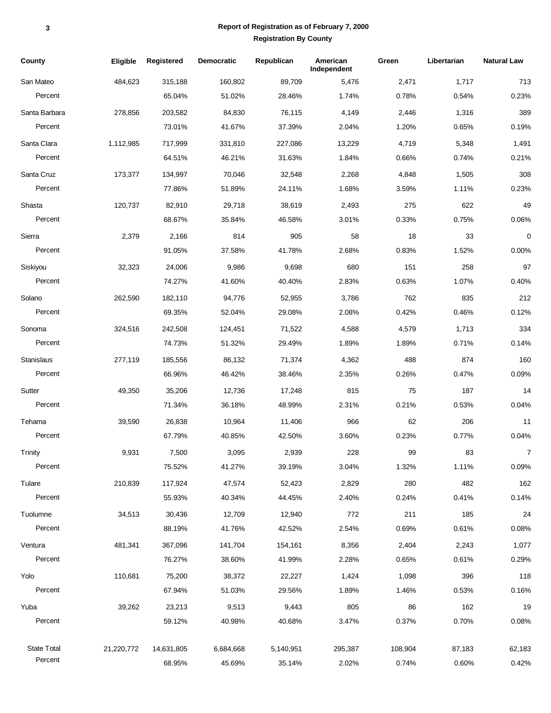## **3**

# **Report of Registration as of February 7, 2000 Registration By County**

| County             | <b>Eligible</b> | Registered | <b>Democratic</b> | Republican | American<br>Independent | Green   | Libertarian | <b>Natural Law</b> |
|--------------------|-----------------|------------|-------------------|------------|-------------------------|---------|-------------|--------------------|
| San Mateo          | 484,623         | 315,188    | 160,802           | 89,709     | 5,476                   | 2,471   | 1,717       | 713                |
| Percent            |                 | 65.04%     | 51.02%            | 28.46%     | 1.74%                   | 0.78%   | 0.54%       | 0.23%              |
| Santa Barbara      | 278,856         | 203,582    | 84,830            | 76,115     | 4,149                   | 2,446   | 1,316       | 389                |
| Percent            |                 | 73.01%     | 41.67%            | 37.39%     | 2.04%                   | 1.20%   | 0.65%       | 0.19%              |
| Santa Clara        | 1,112,985       | 717,999    | 331,810           | 227,086    | 13,229                  | 4,719   | 5,348       | 1,491              |
| Percent            |                 | 64.51%     | 46.21%            | 31.63%     | 1.84%                   | 0.66%   | 0.74%       | 0.21%              |
| Santa Cruz         | 173,377         | 134,997    | 70,046            | 32,548     | 2,268                   | 4,848   | 1,505       | 308                |
| Percent            |                 | 77.86%     | 51.89%            | 24.11%     | 1.68%                   | 3.59%   | 1.11%       | 0.23%              |
| Shasta             | 120,737         | 82,910     | 29,718            | 38,619     | 2,493                   | 275     | 622         | 49                 |
| Percent            |                 | 68.67%     | 35.84%            | 46.58%     | 3.01%                   | 0.33%   | 0.75%       | 0.06%              |
| Sierra             | 2,379           | 2,166      | 814               | 905        | 58                      | 18      | 33          | $\mathbf 0$        |
| Percent            |                 | 91.05%     | 37.58%            | 41.78%     | 2.68%                   | 0.83%   | 1.52%       | 0.00%              |
| Siskiyou           | 32,323          | 24,006     | 9,986             | 9,698      | 680                     | 151     | 258         | 97                 |
| Percent            |                 | 74.27%     | 41.60%            | 40.40%     | 2.83%                   | 0.63%   | 1.07%       | 0.40%              |
| Solano             | 262,590         | 182,110    | 94,776            | 52,955     | 3,786                   | 762     | 835         | 212                |
| Percent            |                 | 69.35%     | 52.04%            | 29.08%     | 2.08%                   | 0.42%   | 0.46%       | 0.12%              |
| Sonoma             | 324,516         | 242,508    | 124,451           | 71,522     | 4,588                   | 4,579   | 1,713       | 334                |
| Percent            |                 | 74.73%     | 51.32%            | 29.49%     | 1.89%                   | 1.89%   | 0.71%       | 0.14%              |
| Stanislaus         | 277,119         | 185,556    | 86,132            | 71,374     | 4,362                   | 488     | 874         | 160                |
| Percent            |                 | 66.96%     | 46.42%            | 38.46%     | 2.35%                   | 0.26%   | 0.47%       | 0.09%              |
| Sutter             | 49,350          | 35,206     | 12,736            | 17,248     | 815                     | 75      | 187         | 14                 |
| Percent            |                 | 71.34%     | 36.18%            | 48.99%     | 2.31%                   | 0.21%   | 0.53%       | 0.04%              |
| Tehama             | 39,590          | 26,838     | 10,964            | 11,406     | 966                     | 62      | 206         | 11                 |
| Percent            |                 | 67.79%     | 40.85%            | 42.50%     | 3.60%                   | 0.23%   | 0.77%       | 0.04%              |
| Trinity            | 9,931           | 7,500      | 3,095             | 2,939      | 228                     | 99      | 83          | 7                  |
| Percent            |                 | 75.52%     | 41.27%            | 39.19%     | 3.04%                   | 1.32%   | 1.11%       | 0.09%              |
| Tulare             | 210,839         | 117,924    | 47,574            | 52,423     | 2,829                   | 280     | 482         | 162                |
| Percent            |                 | 55.93%     | 40.34%            | 44.45%     | 2.40%                   | 0.24%   | 0.41%       | 0.14%              |
| Tuolumne           | 34,513          | 30,436     | 12,709            | 12,940     | 772                     | 211     | 185         | 24                 |
| Percent            |                 | 88.19%     | 41.76%            | 42.52%     | 2.54%                   | 0.69%   | 0.61%       | 0.08%              |
| Ventura            | 481,341         | 367,096    | 141,704           | 154,161    | 8,356                   | 2,404   | 2,243       | 1,077              |
| Percent            |                 | 76.27%     | 38.60%            | 41.99%     | 2.28%                   | 0.65%   | 0.61%       | 0.29%              |
| Yolo               | 110,681         | 75,200     | 38,372            | 22,227     | 1,424                   | 1,098   | 396         | 118                |
| Percent            |                 | 67.94%     | 51.03%            | 29.56%     | 1.89%                   | 1.46%   | 0.53%       | 0.16%              |
| Yuba               | 39,262          | 23,213     | 9,513             | 9,443      | 805                     | 86      | 162         | 19                 |
| Percent            |                 | 59.12%     | 40.98%            | 40.68%     | 3.47%                   | 0.37%   | 0.70%       | 0.08%              |
| <b>State Total</b> | 21,220,772      | 14,631,805 | 6,684,668         | 5,140,951  | 295,387                 | 108,904 | 87,183      | 62,183             |
| Percent            |                 | 68.95%     | 45.69%            | 35.14%     | 2.02%                   | 0.74%   | 0.60%       | 0.42%              |